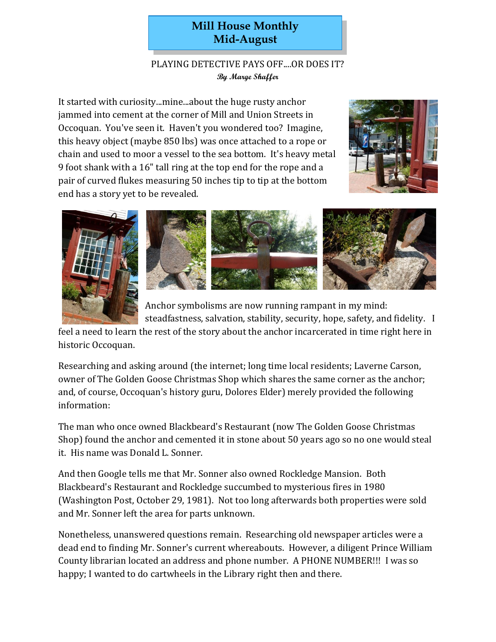## **Mill House Monthly Mid-August**

## PLAYING DETECTIVE PAYS OFF....OR DOES IT? **By Marge Shaffer**

It started with curiosity...mine...about the huge rusty anchor jammed into cement at the corner of Mill and Union Streets in Occoquan. You've seen it. Haven't you wondered too? Imagine, this heavy object (maybe 850 lbs) was once attached to a rope or chain and used to moor a vessel to the sea bottom. It's heavy metal 9 foot shank with a 16" tall ring at the top end for the rope and a pair of curved flukes measuring 50 inches tip to tip at the bottom end has a story yet to be revealed.





Anchor symbolisms are now running rampant in my mind: steadfastness, salvation, stability, security, hope, safety, and fidelity. I

feel a need to learn the rest of the story about the anchor incarcerated in time right here in historic Occoquan.

Researching and asking around (the internet; long time local residents; Laverne Carson, owner of The Golden Goose Christmas Shop which shares the same corner as the anchor; and, of course, Occoquan's history guru, Dolores Elder) merely provided the following information:

The man who once owned Blackbeard's Restaurant (now The Golden Goose Christmas Shop) found the anchor and cemented it in stone about 50 years ago so no one would steal it. His name was Donald L. Sonner.

And then Google tells me that Mr. Sonner also owned Rockledge Mansion. Both Blackbeard's Restaurant and Rockledge succumbed to mysterious fires in 1980 (Washington Post, October 29, 1981). Not too long afterwards both properties were sold and Mr. Sonner left the area for parts unknown.

Nonetheless, unanswered questions remain. Researching old newspaper articles were a dead end to finding Mr. Sonner's current whereabouts. However, a diligent Prince William County librarian located an address and phone number. A PHONE NUMBER!!! I was so happy; I wanted to do cartwheels in the Library right then and there.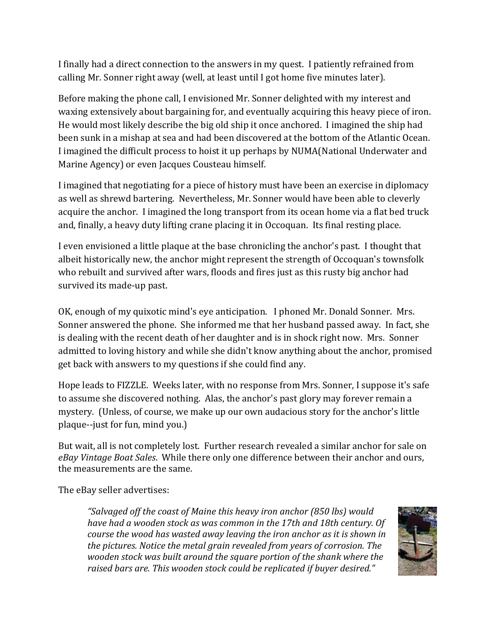I finally had a direct connection to the answers in my quest. I patiently refrained from calling Mr. Sonner right away (well, at least until I got home five minutes later).

Before making the phone call, I envisioned Mr. Sonner delighted with my interest and waxing extensively about bargaining for, and eventually acquiring this heavy piece of iron. He would most likely describe the big old ship it once anchored. I imagined the ship had been sunk in a mishap at sea and had been discovered at the bottom of the Atlantic Ocean. I imagined the difficult process to hoist it up perhaps by NUMA(National Underwater and Marine Agency) or even Jacques Cousteau himself.

I imagined that negotiating for a piece of history must have been an exercise in diplomacy as well as shrewd bartering. Nevertheless, Mr. Sonner would have been able to cleverly acquire the anchor. I imagined the long transport from its ocean home via a flat bed truck and, finally, a heavy duty lifting crane placing it in Occoquan. Its final resting place.

I even envisioned a little plaque at the base chronicling the anchor's past. I thought that albeit historically new, the anchor might represent the strength of Occoquan's townsfolk who rebuilt and survived after wars, floods and fires just as this rusty big anchor had survived its made-up past.

OK, enough of my quixotic mind's eye anticipation. I phoned Mr. Donald Sonner. Mrs. Sonner answered the phone. She informed me that her husband passed away. In fact, she is dealing with the recent death of her daughter and is in shock right now. Mrs. Sonner admitted to loving history and while she didn't know anything about the anchor, promised get back with answers to my questions if she could find any.

Hope leads to FIZZLE. Weeks later, with no response from Mrs. Sonner, I suppose it's safe to assume she discovered nothing. Alas, the anchor's past glory may forever remain a mystery. (Unless, of course, we make up our own audacious story for the anchor's little plaque--just for fun, mind you.)

But wait, all is not completely lost. Further research revealed a similar anchor for sale on *eBay Vintage Boat Sales*. While there only one difference between their anchor and ours, the measurements are the same.

The eBay seller advertises:

*"Salvaged off the coast of Maine this heavy iron anchor (850 lbs) would have had a wooden stock as was common in the 17th and 18th century. Of course the wood has wasted away leaving the iron anchor as it is shown in the pictures. Notice the metal grain revealed from years of corrosion. The wooden stock was built around the square portion of the shank where the raised bars are. This wooden stock could be replicated if buyer desired."*

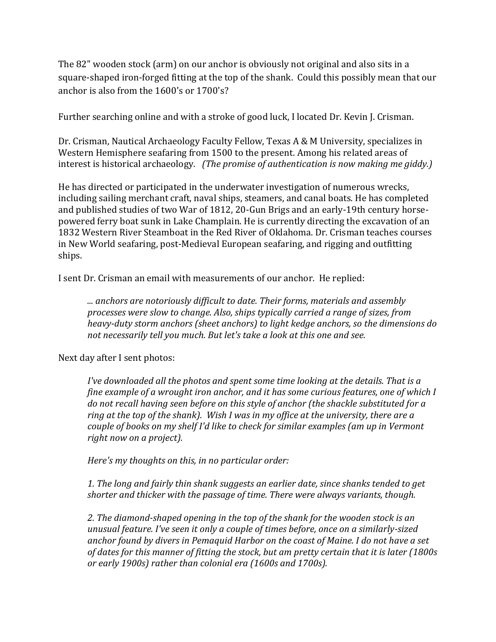The 82" wooden stock (arm) on our anchor is obviously not original and also sits in a square-shaped iron-forged fitting at the top of the shank. Could this possibly mean that our anchor is also from the 1600's or 1700's?

Further searching online and with a stroke of good luck, I located Dr. Kevin J. Crisman.

Dr. Crisman, Nautical Archaeology Faculty Fellow, Texas A & M University, specializes in Western Hemisphere seafaring from 1500 to the present. Among his related areas of interest is historical archaeology. *(The promise of authentication is now making me giddy.)*

He has directed or participated in the underwater investigation of numerous wrecks, including sailing merchant craft, naval ships, steamers, and canal boats. He has completed and published studies of two War of 1812, 20-Gun Brigs and an early-19th century horsepowered ferry boat sunk in Lake Champlain. He is currently directing the excavation of an 1832 Western River Steamboat in the Red River of Oklahoma. Dr. Crisman teaches courses in New World seafaring, post-Medieval European seafaring, and rigging and outfitting ships.

I sent Dr. Crisman an email with measurements of our anchor. He replied:

*... anchors are notoriously difficult to date. Their forms, materials and assembly processes were slow to change. Also, ships typically carried a range of sizes, from heavy-duty storm anchors (sheet anchors) to light kedge anchors, so the dimensions do not necessarily tell you much. But let's take a look at this one and see.*

Next day after I sent photos:

*I've downloaded all the photos and spent some time looking at the details. That is a fine example of a wrought iron anchor, and it has some curious features, one of which I do not recall having seen before on this style of anchor (the shackle substituted for a ring at the top of the shank). Wish I was in my office at the university, there are a couple of books on my shelf I'd like to check for similar examples (am up in Vermont right now on a project).* 

*Here's my thoughts on this, in no particular order:*

*1. The long and fairly thin shank suggests an earlier date, since shanks tended to get shorter and thicker with the passage of time. There were always variants, though.* 

*2. The diamond-shaped opening in the top of the shank for the wooden stock is an unusual feature. I've seen it only a couple of times before, once on a similarly-sized anchor found by divers in Pemaquid Harbor on the coast of Maine. I do not have a set of dates for this manner of fitting the stock, but am pretty certain that it is later (1800s or early 1900s) rather than colonial era (1600s and 1700s).*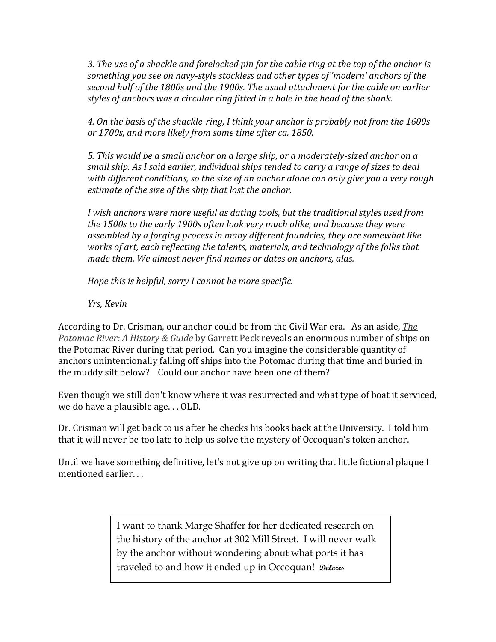*3. The use of a shackle and forelocked pin for the cable ring at the top of the anchor is something you see on navy-style stockless and other types of 'modern' anchors of the second half of the 1800s and the 1900s. The usual attachment for the cable on earlier styles of anchors was a circular ring fitted in a hole in the head of the shank.* 

*4. On the basis of the shackle-ring, I think your anchor is probably not from the 1600s or 1700s, and more likely from some time after ca. 1850.* 

*5. This would be a small anchor on a large ship, or a moderately-sized anchor on a small ship. As I said earlier, individual ships tended to carry a range of sizes to deal with different conditions, so the size of an anchor alone can only give you a very rough estimate of the size of the ship that lost the anchor.* 

*I wish anchors were more useful as dating tools, but the traditional styles used from the 1500s to the early 1900s often look very much alike, and because they were assembled by a forging process in many different foundries, they are somewhat like works of art, each reflecting the talents, materials, and technology of the folks that made them. We almost never find names or dates on anchors, alas.* 

*Hope this is helpful, sorry I cannot be more specific.* 

*Yrs, Kevin*

According to Dr. Crisman, our anchor could be from the Civil War era. As an aside, *The Potomac River: A History & Guide* by Garrett Peck reveals an enormous number of ships on the Potomac River during that period. Can you imagine the considerable quantity of anchors unintentionally falling off ships into the Potomac during that time and buried in the muddy silt below? Could our anchor have been one of them?

Even though we still don't know where it was resurrected and what type of boat it serviced, we do have a plausible age. . . OLD.

Dr. Crisman will get back to us after he checks his books back at the University. I told him that it will never be too late to help us solve the mystery of Occoquan's token anchor.

Until we have something definitive, let's not give up on writing that little fictional plaque I mentioned earlier. . .

> I want to thank Marge Shaffer for her dedicated research on the history of the anchor at 302 Mill Street. I will never walk by the anchor without wondering about what ports it has traveled to and how it ended up in Occoquan! **Dolores**